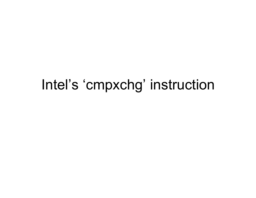#### Intel's 'cmpxchg' instruction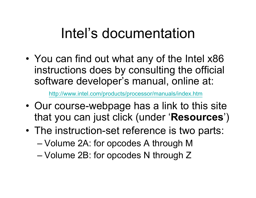### Intel's documentation

• You can find out what any of the Intel x86 instructions does by consulting the official software developer's manual, online at:

http://www.intel.com/products/processor/manuals/index.htm

- Our course-webpage has a link to this site that you can just click (under '**Resources**')
- The instruction-set reference is two parts:
	- Volume 2A: for opcodes A through M
	- Volume 2B: for opcodes N through Z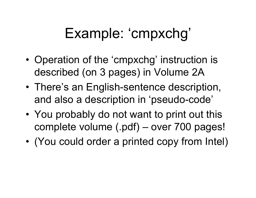## Example: 'cmpxchg'

- Operation of the 'cmpxchg' instruction is described (on 3 pages) in Volume 2A
- There's an English-sentence description, and also a description in 'pseudo-code'
- You probably do not want to print out this complete volume (.pdf) – over 700 pages!
- (You could order a printed copy from Intel)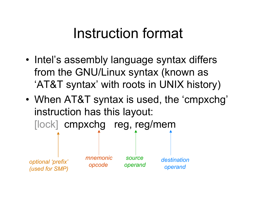#### Instruction format

- Intel's assembly language syntax differs from the GNU/Linux syntax (known as 'AT&T syntax' with roots in UNIX history)
- When AT&T syntax is used, the 'cmpxchg' instruction has this layout: [lock] cmpxchg reg, reg/mem

*optional 'prefix' (used for SMP)*

*mnemonic opcode*

 *source operand*

*destination operand*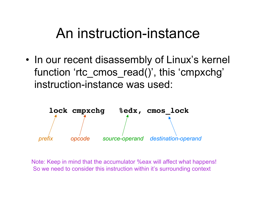#### An instruction-instance

• In our recent disassembly of Linux's kernel function 'rtc\_cmos\_read()' , this 'cmpxchg' instruction-instance was used:



Note: Keep in mind that the accumulator %eax will affect what happens! So we need to consider this instruction within it's surrounding context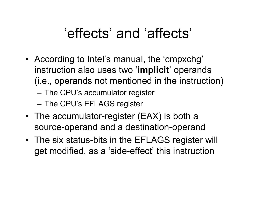#### 'effects' and 'affects'

- According to Intel's manual, the 'cmpxchg' instruction also uses two '**implicit**' operands (i.e., operands not mentioned in the instruction)
	- The CPU's accumulator register
	- The CPU's EFLAGS register
- The accumulator-register (EAX) is both a source-operand and a destination-operand
- The six status-bits in the EFLAGS register will get modified, as a 'side-effect' this instruction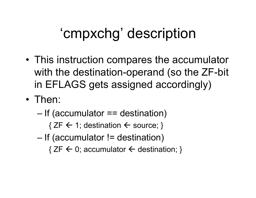# 'cmpxchg' description

- This instruction compares the accumulator with the destination-operand (so the ZF-bit in EFLAGS gets assigned accordingly)
- Then:
	- If (accumulator == destination)
		- $\{ ZF \leftarrow 1;$  destination  $\leftarrow$  source; }
	- If (accumulator != destination)
		- ${ZF \leftarrow 0;$  accumulator  $\leftarrow$  destination; }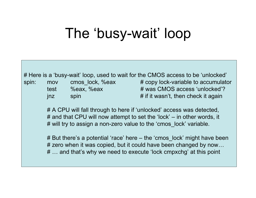## The 'busy-wait' loop

# Here is a 'busy-wait' loop, used to wait for the CMOS access to be 'unlocked'

spin: mov cmos\_lock, %eax # copy lock-variable to accumulator test %eax, %eax  $\#$  was CMOS access 'unlocked'?  $jnz$  spin  $\#$  if it wasn't, then check it again

> # A CPU will fall through to here if 'unlocked' access was detected, # and that CPU will now attempt to set the 'lock' – in other words, it # will try to assign a non-zero value to the 'cmos lock' variable.

# But there's a potential 'race' here – the 'cmos\_lock' might have been # zero when it was copied, but it could have been changed by now... # … and that's why we need to execute 'lock cmpxchg' at this point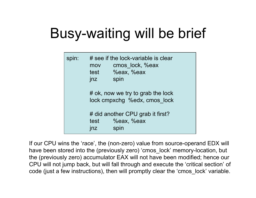# Busy-waiting will be brief

```
spin: # see if the lock-variable is clear
mov cmos_lock, %eax
test %eax, %eax
jnz spin
# ok, now we try to grab the lock
 lock cmpxchg %edx, cmos_lock
# did another CPU grab it first? 
test %eax, %eax
jnz spin
```
If our CPU wins the 'race', the (non-zero) value from source-operand EDX will have been stored into the (previously zero) 'cmos\_lock' memory-location, but the (previously zero) accumulator EAX will not have been modified; hence our CPU will not jump back, but will fall through and execute the 'critical section' of code (just a few instructions), then will promptly clear the 'cmos\_lock' variable.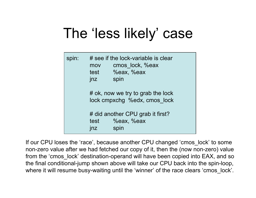## The 'less likely' case

| spin: | mov<br>test<br>jnz                                                | # see if the lock-variable is clear<br>cmos lock, %eax<br>%eax, %eax<br>spin |  |
|-------|-------------------------------------------------------------------|------------------------------------------------------------------------------|--|
|       | # ok, now we try to grab the lock<br>lock cmpxchg %edx, cmos lock |                                                                              |  |
|       | # did another CPU grab it first?                                  |                                                                              |  |
|       | test                                                              | <b>%eax, %eax</b>                                                            |  |
|       | $1$                                                               | spin                                                                         |  |

If our CPU loses the 'race', because another CPU changed 'cmos\_lock' to some non-zero value after we had fetched our copy of it, then the (now non-zero) value from the 'cmos lock' destination-operand will have been copied into EAX, and so the final conditional-jump shown above will take our CPU back into the spin-loop, where it will resume busy-waiting until the 'winner' of the race clears 'cmos\_lock'.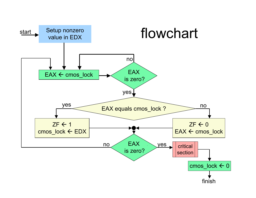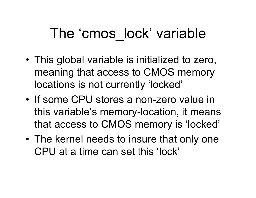#### The 'cmos\_lock' variable

- This global variable is initialized to zero, meaning that access to CMOS memory locations is not currently 'locked'
- If some CPU stores a non-zero value in this variable's memory-location, it means that access to CMOS memory is 'locked'
- The kernel needs to insure that only one CPU at a time can set this 'lock'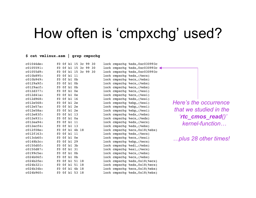#### How often is 'cmpxchg' used?

#### **\$ cat vmlinux.asm | grep cmpxchg**

| c01046de:    | f0 0f b1 15 3c 99 30 | lock cmpxchq %edx, 0xc030993c |                        |
|--------------|----------------------|-------------------------------|------------------------|
| c0105591:    | f0 0f b1 15 3c 99 30 | lock cmpxchq %edx, 0xc030993c |                        |
| c01055d9:    | f0 0f b1 15 3c 99 30 | lock cmpxchq %edx, 0xc030993c |                        |
| c010b895:    | f0 0f b1 11          | lock cmpxchq %edx, (%ecx)     |                        |
| c010b949:    | $f0$ $0f$ $b1$ $0b$  | lock cmpxchg %ecx, (%ebx)     |                        |
| c0129a9f:    | $f0$ $0f$ $b1$ $0b$  | lock cmpxchg %ecx, (%ebx)     |                        |
| c0129acf:    | $f0$ $0f$ $b1$ $0b$  | lock cmpxchq %ecx, (%ebx)     |                        |
| c012d377:    | $f0$ Of $b1$ Oe      | lock cmpxchg %ecx, (%esi)     |                        |
| $c012d41a$ : | $f0$ Of $b1$ Oe      | lock cmpxchq %ecx, (%esi)     |                        |
| c012d968:    | f0 0f b1 16          | lock cmpxchq %edx, (%esi)     |                        |
| c012e568:    | $f0$ Of $b1$ 2e      | lock cmpxchg %ebp, (%esi)     | Here's the occurrence  |
| c012e57a:    | f0 0f b1 2e          | lock cmpxchg %ebp, (%esi)     | that we studied in the |
| c012e58a:    | $f0$ Of $b1$ 2e      | lock cmpxchq %ebp, (%esi)     |                        |
| c012e83f:    | f0 0f b1 13          | lock cmpxchg %edx, (%ebx)     |                        |
| c012e931:    | $f0$ Of $b1$ Oa      | lock cmpxchq %ecx, (%edx)     | 'rtc cmos_read()'      |
| c012ea94:    | f0 0f b1 11          | lock cmpxchg %edx, (%ecx)     | kernel-function        |
| $c012ecf4$ : | f0 0f b1 13          | lock cmpxchq %edx, (%ebx)     |                        |
| c012f08e:    | f0 0f b1 4b 18       | lock cmpxchq %ecx, 0x18(%ebx) |                        |
| c012f163:    | f0 0f b1 11          | lock cmpxchq %edx, (%ecx)     |                        |
| c013cb60:    | $f0$ Of $b1$ Oe      | lock cmpxchq %ecx, (%esi)     | plus 28 other times!   |
| $c0148b3c$ : | f0 0f b1 29          | lock cmpxchg %ebp, (%ecx)     |                        |
| $c0150d0f$ : | f0 0f b1 3b          | lock cmpxchg %edi, (%ebx)     |                        |
| c0150d87:    | f0 0f b1 31          | lock cmpxchg %esi, (%ecx)     |                        |
| c0199c5e:    | $f0$ $0f$ $b1$ $0b$  | lock cmpxchq %ecx, (%ebx)     |                        |
| $c024b06f$ : | $f0$ $0f$ $b1$ $0b$  | lock cmpxchq %ecx, (%ebx)     |                        |
| $c024b2fe$ : | f0 0f b1 51 18       | lock cmpxchg %edx, 0x18(%ecx) |                        |
| c024b321:    | f0 0f b1 51 18       | lock cmpxchq %edx, 0x18(%ecx) |                        |
| $c024b34b$ : | f0 0f b1 4b 18       | lock cmpxchq %ecx, 0x18(%ebx) |                        |
| c024b960:    | f0 0f b1 53 18       | lock cmpxchq %edx, 0x18(%ebx) |                        |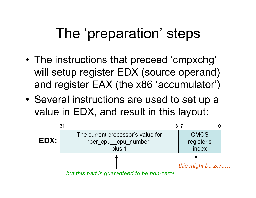# The 'preparation' steps

- The instructions that preceed 'cmpxchg' will setup register EDX (source operand) and register EAX (the x86 'accumulator')
- Several instructions are used to set up a value in EDX, and result in this layout:

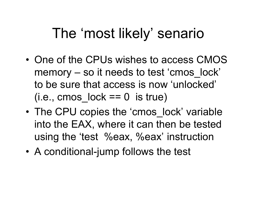### The 'most likely' senario

- One of the CPUs wishes to access CMOS memory – so it needs to test 'cmos\_lock' to be sure that access is now 'unlocked'  $(i.e., \text{cmos} \, \text{lock} == 0 \, \text{is true})$
- The CPU copies the 'cmos lock' variable into the EAX, where it can then be tested using the 'test %eax, %eax' instruction
- A conditional-jump follows the test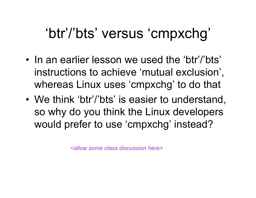## 'btr'/'bts' versus 'cmpxchg'

- In an earlier lesson we used the 'btr'/'bts' instructions to achieve 'mutual exclusion' , whereas Linux uses 'cmpxchg' to do that
- We think 'btr'/'bts' is easier to understand, so why do you think the Linux developers would prefer to use 'cmpxchg' instead?

*<allow some class discussion here>*